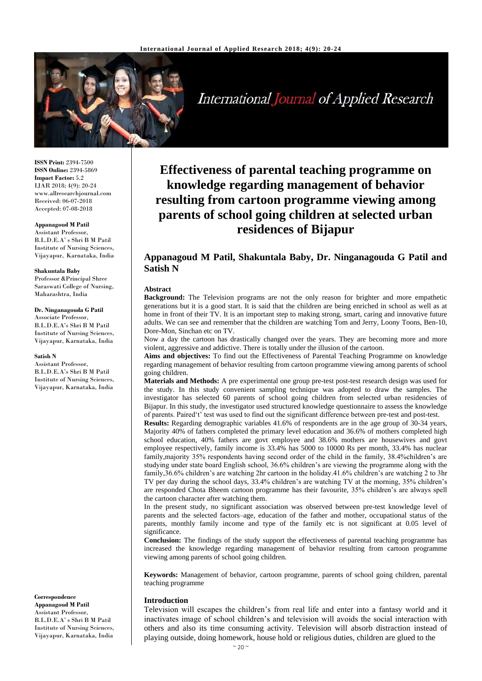

**International Journal of Applied Research** 

**ISSN Print:** 2394-7500 **ISSN Online:** 2394-5869 **Impact Factor:** 5.2 IJAR 2018; 4(9): 20-24 www.allresearchjournal.com Received: 06-07-2018 Accepted: 07-08-2018

### **Appanagoud M Patil**

Assistant Professor, B.L.D.E.A' s Shri B M Patil Institute of Nursing Sciences, Vijayapur, Karnataka, India

#### **Shakuntala Baby**

Professor &Principal Shree Saraswati College of Nursing, Maharashtra, India

#### **Dr. Ninganagouda G Patil**

Associate Professor, B.L.D.E.A's Shri B M Patil Institute of Nursing Sciences, Vijayapur, Karnataka, India

#### **Satish N**

Assistant Professor, B.L.D.E.A's Shri B M Patil Institute of Nursing Sciences, Vijayapur, Karnataka, India

**Correspondence Appanagoud M Patil** Assistant Professor, B.L.D.E.A' s Shri B M Patil Institute of Nursing Sciences, Vijayapur, Karnataka, India

# **Effectiveness of parental teaching programme on knowledge regarding management of behavior resulting from cartoon programme viewing among parents of school going children at selected urban residences of Bijapur**

# **Appanagoud M Patil, Shakuntala Baby, Dr. Ninganagouda G Patil and Satish N**

### **Abstract**

**Background:** The Television programs are not the only reason for brighter and more empathetic generations but it is a good start. It is said that the children are being enriched in school as well as at home in front of their TV. It is an important step to making strong, smart, caring and innovative future adults. We can see and remember that the children are watching Tom and Jerry, Loony Toons, Ben-10, Dore-Mon, Sinchan etc on TV.

Now a day the cartoon has drastically changed over the years. They are becoming more and more violent, aggressive and addictive. There is totally under the illusion of the cartoon.

**Aims and objectives:** To find out the Effectiveness of Parental Teaching Programme on knowledge regarding management of behavior resulting from cartoon programme viewing among parents of school going children.

**Materials and Methods:** A pre experimental one group pre-test post-test research design was used for the study. In this study convenient sampling technique was adopted to draw the samples. The investigator has selected 60 parents of school going children from selected urban residencies of Bijapur. In this study, the investigator used structured knowledge questionnaire to assess the knowledge of parents. Paired't' test was used to find out the significant difference between pre-test and post-test.

**Results:** Regarding demographic variables 41.6% of respondents are in the age group of 30-34 years, Majority 40% of fathers completed the primary level education and 36.6% of mothers completed high school education, 40% fathers are govt employee and 38.6% mothers are housewives and govt employee respectively, family income is 33.4% has 5000 to 10000 Rs per month, 33.4% has nuclear family,majority 35% respondents having second order of the child in the family, 38.4%children's are studying under state board English school, 36.6% children's are viewing the programme along with the family,36.6% children's are watching 2hr cartoon in the holiday.41.6% children's are watching 2 to 3hr TV per day during the school days, 33.4% children's are watching TV at the morning, 35% children's are responded Chota Bheem cartoon programme has their favourite, 35% children's are always spell the cartoon character after watching them.

In the present study, no significant association was observed between pre-test knowledge level of parents and the selected factors–age, education of the father and mother, occupational status of the parents, monthly family income and type of the family etc is not significant at 0.05 level of significance.

**Conclusion:** The findings of the study support the effectiveness of parental teaching programme has increased the knowledge regarding management of behavior resulting from cartoon programme viewing among parents of school going children.

**Keywords:** Management of behavior, cartoon programme, parents of school going children, parental teaching programme

### **Introduction**

Television will escapes the children's from real life and enter into a fantasy world and it inactivates image of school children's and television will avoids the social interaction with others and also its time consuming activity. Television will absorb distraction instead of playing outside, doing homework, house hold or religious duties, children are glued to the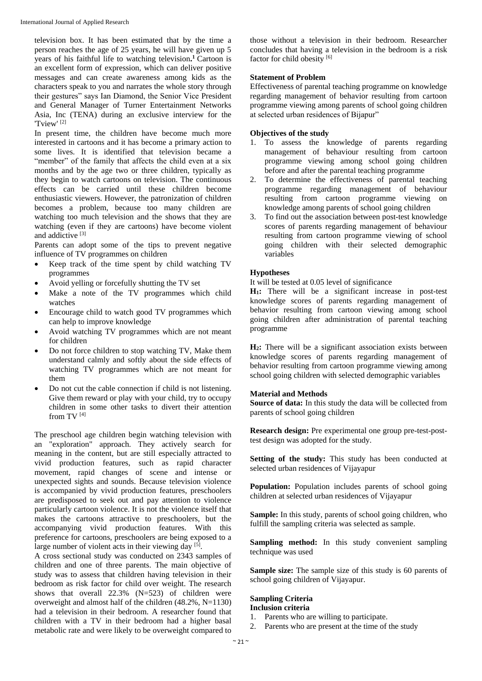television box. It has been estimated that by the time a person reaches the age of 25 years, he will have given up 5 years of his faithful life to watching television**. <sup>1</sup>**Cartoon is an excellent form of expression, which can deliver positive messages and can create awareness among kids as the characters speak to you and narrates the whole story through their gestures" says Ian Diamond, the Senior Vice President and General Manager of Turner Entertainment Networks Asia, Inc (TENA) during an exclusive interview for the 'Tview' [2]

In present time, the children have become much more interested in cartoons and it has become a primary action to some lives. It is identified that television became a "member" of the family that affects the child even at a six months and by the age two or three children, typically as they begin to watch cartoons on television. The continuous effects can be carried until these children become enthusiastic viewers. However, the patronization of children becomes a problem, because too many children are watching too much television and the shows that they are watching (even if they are cartoons) have become violent and addictive [3]

Parents can adopt some of the tips to prevent negative influence of TV programmes on children

- Keep track of the time spent by child watching TV programmes
- Avoid yelling or forcefully shutting the TV set
- Make a note of the TV programmes which child watches
- Encourage child to watch good TV programmes which can help to improve knowledge
- Avoid watching TV programmes which are not meant for children
- Do not force children to stop watching TV, Make them understand calmly and softly about the side effects of watching TV programmes which are not meant for them
- Do not cut the cable connection if child is not listening. Give them reward or play with your child, try to occupy children in some other tasks to divert their attention from TV [4]

The preschool age children begin watching television with an "exploration" approach. They actively search for meaning in the content, but are still especially attracted to vivid production features, such as rapid character movement, rapid changes of scene and intense or unexpected sights and sounds. Because television violence is accompanied by vivid production features, preschoolers are predisposed to seek out and pay attention to violence particularly cartoon violence. It is not the violence itself that makes the cartoons attractive to preschoolers, but the accompanying vivid production features. With this preference for cartoons, preschoolers are being exposed to a large number of violent acts in their viewing day [5].

A cross sectional study was conducted on 2343 samples of children and one of three parents. The main objective of study was to assess that children having television in their bedroom as risk factor for child over weight. The research shows that overall 22.3% (N=523) of children were overweight and almost half of the children (48.2%, N=1130) had a television in their bedroom. A researcher found that children with a TV in their bedroom had a higher basal metabolic rate and were likely to be overweight compared to

those without a television in their bedroom. Researcher concludes that having a television in the bedroom is a risk factor for child obesity [6]

# **Statement of Problem**

Effectiveness of parental teaching programme on knowledge regarding management of behavior resulting from cartoon programme viewing among parents of school going children at selected urban residences of Bijapur"

# **Objectives of the study**

- 1. To assess the knowledge of parents regarding management of behaviour resulting from cartoon programme viewing among school going children before and after the parental teaching programme
- 2. To determine the effectiveness of parental teaching programme regarding management of behaviour resulting from cartoon programme viewing on knowledge among parents of school going children
- 3. To find out the association between post-test knowledge scores of parents regarding management of behaviour resulting from cartoon programme viewing of school going children with their selected demographic variables

# **Hypotheses**

It will be tested at 0.05 level of significance

**H1:** There will be a significant increase in post-test knowledge scores of parents regarding management of behavior resulting from cartoon viewing among school going children after administration of parental teaching programme

**H2:** There will be a significant association exists between knowledge scores of parents regarding management of behavior resulting from cartoon programme viewing among school going children with selected demographic variables

### **Material and Methods**

**Source of data:** In this study the data will be collected from parents of school going children

**Research design:** Pre experimental one group pre-test-posttest design was adopted for the study.

Setting of the study: This study has been conducted at selected urban residences of Vijayapur

**Population:** Population includes parents of school going children at selected urban residences of Vijayapur

**Sample:** In this study, parents of school going children, who fulfill the sampling criteria was selected as sample.

**Sampling method:** In this study convenient sampling technique was used

Sample size: The sample size of this study is 60 parents of school going children of Vijayapur.

# **Sampling Criteria**

# **Inclusion criteria**

- 1. Parents who are willing to participate.
- 2. Parents who are present at the time of the study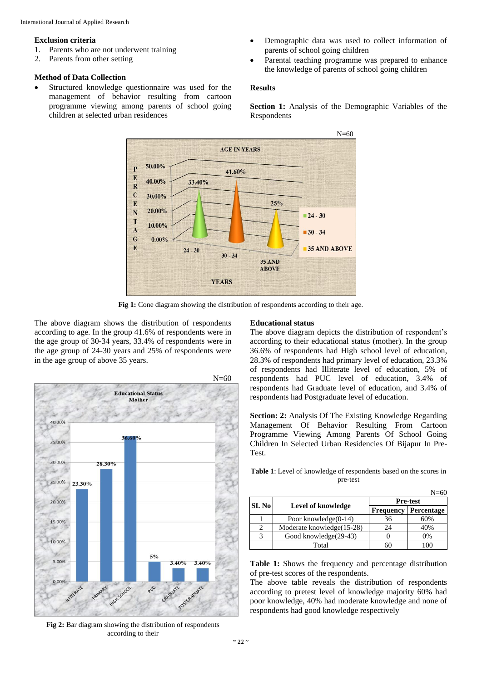### **Exclusion criteria**

- 1. Parents who are not underwent training
- 2. Parents from other setting

# **Method of Data Collection**

- Structured knowledge questionnaire was used for the management of behavior resulting from cartoon programme viewing among parents of school going children at selected urban residences
- Demographic data was used to collect information of parents of school going children
- Parental teaching programme was prepared to enhance the knowledge of parents of school going children

# **Results**

**Section 1:** Analysis of the Demographic Variables of the Respondents



Fig 1: Cone diagram showing the distribution of respondents according to their age.

The above diagram shows the distribution of respondents according to age. In the group 41.6% of respondents were in the age group of 30-34 years, 33.4% of respondents were in the age group of 24-30 years and 25% of respondents were in the age group of above 35 years.



**Fig 2:** Bar diagram showing the distribution of respondents according to their

### **Educational status**

The above diagram depicts the distribution of respondent's according to their educational status (mother). In the group 36.6% of respondents had High school level of education, 28.3% of respondents had primary level of education, 23.3% of respondents had Illiterate level of education, 5% of respondents had PUC level of education, 3.4% of respondents had Graduate level of education, and 3.4% of respondents had Postgraduate level of education.

**Section: 2:** Analysis Of The Existing Knowledge Regarding Management Of Behavior Resulting From Cartoon Programme Viewing Among Parents Of School Going Children In Selected Urban Residencies Of Bijapur In Pre-Test.

**Table 1**: Level of knowledge of respondents based on the scores in pre-test

|                        |                           |                  | $N = 60$        |
|------------------------|---------------------------|------------------|-----------------|
| SI. No                 |                           |                  | <b>Pre-test</b> |
|                        | Level of knowledge        | <b>Frequency</b> | Percentage      |
|                        | Poor knowledge $(0-14)$   | 36               | 60%             |
| C                      | Moderate knowledge(15-28) | 24               | 40%             |
| $\mathbf{\mathcal{R}}$ | Good knowledge(29-43)     |                  | 0%              |
|                        | Total                     | 60               | ഥറ              |

**Table 1:** Shows the frequency and percentage distribution of pre-test scores of the respondents.

The above table reveals the distribution of respondents according to pretest level of knowledge majority 60% had poor knowledge, 40% had moderate knowledge and none of respondents had good knowledge respectively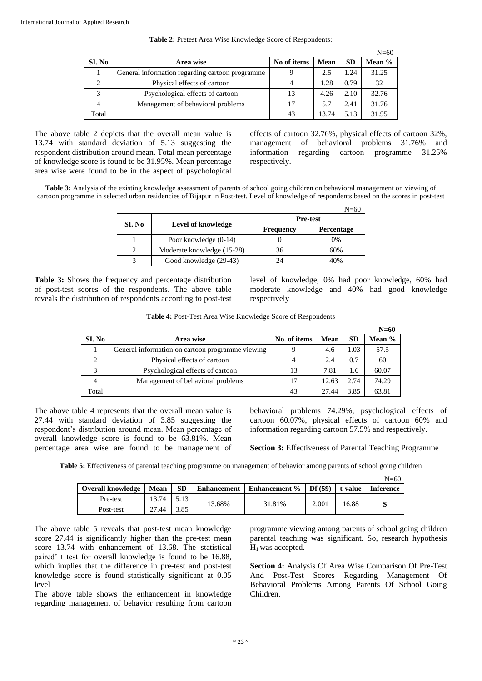|  |  | Table 2: Pretest Area Wise Knowledge Score of Respondents: |
|--|--|------------------------------------------------------------|
|--|--|------------------------------------------------------------|

|        |                                                 |             |       |           | $N=60$ |
|--------|-------------------------------------------------|-------------|-------|-----------|--------|
| SI. No | Area wise                                       | No of items | Mean  | <b>SD</b> | Mean % |
|        | General information regarding cartoon programme |             | 2.5   | 1.24      | 31.25  |
|        | Physical effects of cartoon                     |             | 1.28  | 0.79      | 32     |
| 2      | Psychological effects of cartoon                | 13          | 4.26  | 2.10      | 32.76  |
| 4      | Management of behavioral problems               | 17          | 5.7   | 2.41      | 31.76  |
| Total  |                                                 | 43          | 13.74 | 5.13      | 31.95  |

The above table 2 depicts that the overall mean value is 13.74 with standard deviation of 5.13 suggesting the respondent distribution around mean. Total mean percentage of knowledge score is found to be 31.95%. Mean percentage area wise were found to be in the aspect of psychological effects of cartoon 32.76%, physical effects of cartoon 32%, management of behavioral problems 31.76% and information regarding cartoon programme 31.25% respectively.

**Table 3:** Analysis of the existing knowledge assessment of parents of school going children on behavioral management on viewing of cartoon programme in selected urban residencies of Bijapur in Post-test. Level of knowledge of respondents based on the scores in post-test

|        |                            |                  | $N = 60$          |
|--------|----------------------------|------------------|-------------------|
|        |                            |                  | <b>Pre-test</b>   |
| SI. No | Level of knowledge         | <b>Frequency</b> | <b>Percentage</b> |
|        | Poor knowledge (0-14)      |                  | 0%                |
|        | Moderate knowledge (15-28) | 36               | 60%               |
|        | Good knowledge (29-43)     | 24               | 40%               |

**Table 3:** Shows the frequency and percentage distribution of post-test scores of the respondents. The above table reveals the distribution of respondents according to post-test

level of knowledge, 0% had poor knowledge, 60% had moderate knowledge and 40% had good knowledge respectively

|  | Table 4: Post-Test Area Wise Knowledge Score of Respondents |  |
|--|-------------------------------------------------------------|--|
|--|-------------------------------------------------------------|--|

|        |                                                  |              |       |           | $N=60$ |
|--------|--------------------------------------------------|--------------|-------|-----------|--------|
| SI. No | Area wise                                        | No. of items | Mean  | <b>SD</b> | Mean % |
|        | General information on cartoon programme viewing |              | 4.6   | 1.03      | 57.5   |
|        | Physical effects of cartoon                      |              | 2.4   | 0.7       | 60     |
|        | Psychological effects of cartoon                 | 13           | 7.81  | 1.6       | 60.07  |
|        | Management of behavioral problems                |              | 12.63 | 2.74      | 74.29  |
| Total  |                                                  | 43           | 27.44 | 3.85      | 63.81  |

The above table 4 represents that the overall mean value is 27.44 with standard deviation of 3.85 suggesting the respondent's distribution around mean. Mean percentage of overall knowledge score is found to be 63.81%. Mean percentage area wise are found to be management of

behavioral problems 74.29%, psychological effects of cartoon 60.07%, physical effects of cartoon 60% and information regarding cartoon 57.5% and respectively.

**Section 3:** Effectiveness of Parental Teaching Programme

**Table 5:** Effectiveness of parental teaching programme on management of behavior among parents of school going children

|                          |       |           |                    |                      |        |         | N=60             |
|--------------------------|-------|-----------|--------------------|----------------------|--------|---------|------------------|
| <b>Overall knowledge</b> | Mean  | <b>SD</b> | <b>Enhancement</b> | <b>Enhancement</b> % | Df(59) | t-value | <b>Inference</b> |
| Pre-test                 | 13.74 | 5.13      |                    | 31.81%               | 2.001  | 16.88   |                  |
| Post-test                | 27.44 | 3.85      | 13.68%             |                      |        |         |                  |

The above table 5 reveals that post-test mean knowledge score 27.44 is significantly higher than the pre-test mean score 13.74 with enhancement of 13.68. The statistical paired' t test for overall knowledge is found to be 16.88, which implies that the difference in pre-test and post-test knowledge score is found statistically significant at 0.05 level

The above table shows the enhancement in knowledge regarding management of behavior resulting from cartoon

programme viewing among parents of school going children parental teaching was significant. So, research hypothesis  $H<sub>1</sub>$  was accepted.

**Section 4:** Analysis Of Area Wise Comparison Of Pre-Test And Post-Test Scores Regarding Management Of Behavioral Problems Among Parents Of School Going Children.